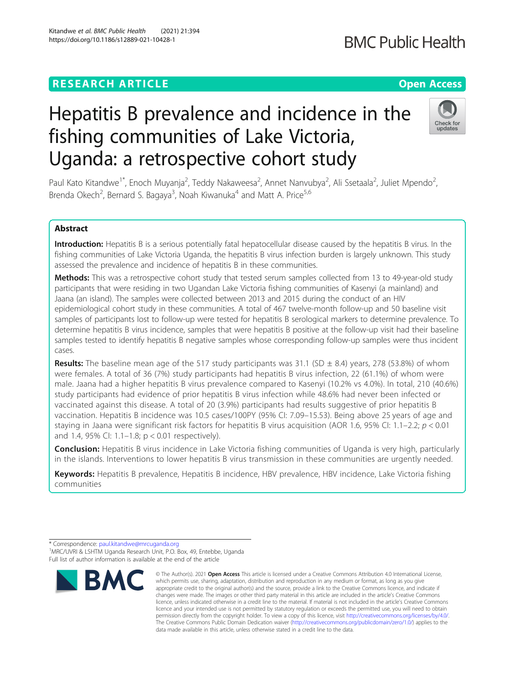# **RESEARCH ARTICLE Example 2014 12:30 The Contract of Contract ACCESS**

# Hepatitis B prevalence and incidence in the fishing communities of Lake Victoria, Uganda: a retrospective cohort study

Paul Kato Kitandwe<sup>1\*</sup>, Enoch Muyanja<sup>2</sup>, Teddy Nakaweesa<sup>2</sup>, Annet Nanvubya<sup>2</sup>, Ali Ssetaala<sup>2</sup>, Juliet Mpendo<sup>2</sup> , Brenda Okech<sup>2</sup>, Bernard S. Bagaya<sup>3</sup>, Noah Kiwanuka<sup>4</sup> and Matt A. Price<sup>5,6</sup>

# Abstract

Introduction: Hepatitis B is a serious potentially fatal hepatocellular disease caused by the hepatitis B virus. In the fishing communities of Lake Victoria Uganda, the hepatitis B virus infection burden is largely unknown. This study assessed the prevalence and incidence of hepatitis B in these communities.

Methods: This was a retrospective cohort study that tested serum samples collected from 13 to 49-year-old study participants that were residing in two Ugandan Lake Victoria fishing communities of Kasenyi (a mainland) and Jaana (an island). The samples were collected between 2013 and 2015 during the conduct of an HIV epidemiological cohort study in these communities. A total of 467 twelve-month follow-up and 50 baseline visit samples of participants lost to follow-up were tested for hepatitis B serological markers to determine prevalence. To determine hepatitis B virus incidence, samples that were hepatitis B positive at the follow-up visit had their baseline samples tested to identify hepatitis B negative samples whose corresponding follow-up samples were thus incident cases.

**Results:** The baseline mean age of the 517 study participants was 31.1 (SD  $\pm$  8.4) years, 278 (53.8%) of whom were females. A total of 36 (7%) study participants had hepatitis B virus infection, 22 (61.1%) of whom were male. Jaana had a higher hepatitis B virus prevalence compared to Kasenyi (10.2% vs 4.0%). In total, 210 (40.6%) study participants had evidence of prior hepatitis B virus infection while 48.6% had never been infected or vaccinated against this disease. A total of 20 (3.9%) participants had results suggestive of prior hepatitis B vaccination. Hepatitis B incidence was 10.5 cases/100PY (95% CI: 7.09–15.53). Being above 25 years of age and staying in Jaana were significant risk factors for hepatitis B virus acquisition (AOR 1.6, 95% CI: 1.1–2.2;  $p < 0.01$ and 1.4, 95% CI: 1.1–1.8; p < 0.01 respectively).

Conclusion: Hepatitis B virus incidence in Lake Victoria fishing communities of Uganda is very high, particularly in the islands. Interventions to lower hepatitis B virus transmission in these communities are urgently needed.

Keywords: Hepatitis B prevalence, Hepatitis B incidence, HBV prevalence, HBV incidence, Lake Victoria fishing communities

**BMC** 





Check for undates

<sup>©</sup> The Author(s), 2021 **Open Access** This article is licensed under a Creative Commons Attribution 4.0 International License, \* Correspondence: [paul.kitandwe@mrcuganda.org](mailto:paul.kitandwe@mrcuganda.org) <sup>1</sup> <sup>1</sup>MRC/UVRI & LSHTM Uganda Research Unit, P.O. Box, 49, Entebbe, Uganda Full list of author information is available at the end of the article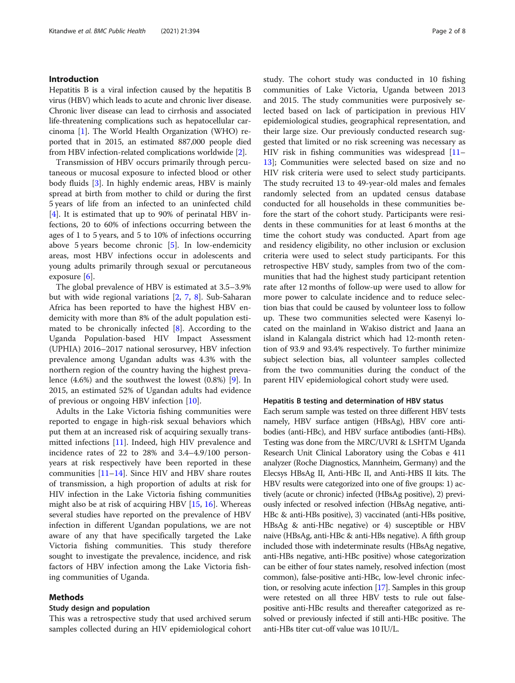# Introduction

Hepatitis B is a viral infection caused by the hepatitis B virus (HBV) which leads to acute and chronic liver disease. Chronic liver disease can lead to cirrhosis and associated life-threatening complications such as hepatocellular carcinoma [\[1](#page-7-0)]. The World Health Organization (WHO) reported that in 2015, an estimated 887,000 people died from HBV infection-related complications worldwide [\[2](#page-7-0)].

Transmission of HBV occurs primarily through percutaneous or mucosal exposure to infected blood or other body fluids [\[3](#page-7-0)]. In highly endemic areas, HBV is mainly spread at birth from mother to child or during the first 5 years of life from an infected to an uninfected child [[4\]](#page-7-0). It is estimated that up to 90% of perinatal HBV infections, 20 to 60% of infections occurring between the ages of 1 to 5 years, and 5 to 10% of infections occurring above 5 years become chronic [[5\]](#page-7-0). In low-endemicity areas, most HBV infections occur in adolescents and young adults primarily through sexual or percutaneous exposure [\[6](#page-7-0)].

The global prevalence of HBV is estimated at 3.5–3.9% but with wide regional variations [[2,](#page-7-0) [7,](#page-7-0) [8\]](#page-7-0). Sub-Saharan Africa has been reported to have the highest HBV endemicity with more than 8% of the adult population estimated to be chronically infected [[8\]](#page-7-0). According to the Uganda Population-based HIV Impact Assessment (UPHIA) 2016–2017 national serosurvey, HBV infection prevalence among Ugandan adults was 4.3% with the northern region of the country having the highest prevalence (4.6%) and the southwest the lowest (0.8%) [[9\]](#page-7-0). In 2015, an estimated 52% of Ugandan adults had evidence of previous or ongoing HBV infection [[10\]](#page-7-0).

Adults in the Lake Victoria fishing communities were reported to engage in high-risk sexual behaviors which put them at an increased risk of acquiring sexually transmitted infections [\[11](#page-7-0)]. Indeed, high HIV prevalence and incidence rates of 22 to 28% and 3.4–4.9/100 personyears at risk respectively have been reported in these communities [[11](#page-7-0)–[14](#page-7-0)]. Since HIV and HBV share routes of transmission, a high proportion of adults at risk for HIV infection in the Lake Victoria fishing communities might also be at risk of acquiring HBV [[15](#page-7-0), [16](#page-7-0)]. Whereas several studies have reported on the prevalence of HBV infection in different Ugandan populations, we are not aware of any that have specifically targeted the Lake Victoria fishing communities. This study therefore sought to investigate the prevalence, incidence, and risk factors of HBV infection among the Lake Victoria fishing communities of Uganda.

#### Methods

#### Study design and population

This was a retrospective study that used archived serum samples collected during an HIV epidemiological cohort study. The cohort study was conducted in 10 fishing communities of Lake Victoria, Uganda between 2013 and 2015. The study communities were purposively selected based on lack of participation in previous HIV epidemiological studies, geographical representation, and their large size. Our previously conducted research suggested that limited or no risk screening was necessary as HIV risk in fishing communities was widespread [[11](#page-7-0)– [13\]](#page-7-0); Communities were selected based on size and no HIV risk criteria were used to select study participants. The study recruited 13 to 49-year-old males and females randomly selected from an updated census database conducted for all households in these communities before the start of the cohort study. Participants were residents in these communities for at least 6 months at the time the cohort study was conducted. Apart from age and residency eligibility, no other inclusion or exclusion criteria were used to select study participants. For this retrospective HBV study, samples from two of the communities that had the highest study participant retention rate after 12 months of follow-up were used to allow for more power to calculate incidence and to reduce selection bias that could be caused by volunteer loss to follow up. These two communities selected were Kasenyi located on the mainland in Wakiso district and Jaana an island in Kalangala district which had 12-month retention of 93.9 and 93.4% respectively. To further minimize subject selection bias, all volunteer samples collected from the two communities during the conduct of the parent HIV epidemiological cohort study were used.

#### Hepatitis B testing and determination of HBV status

Each serum sample was tested on three different HBV tests namely, HBV surface antigen (HBsAg), HBV core antibodies (anti-HBc), and HBV surface antibodies (anti-HBs). Testing was done from the MRC/UVRI & LSHTM Uganda Research Unit Clinical Laboratory using the Cobas e 411 analyzer (Roche Diagnostics, Mannheim, Germany) and the Elecsys HBsAg II, Anti-HBc II, and Anti-HBS II kits. The HBV results were categorized into one of five groups: 1) actively (acute or chronic) infected (HBsAg positive), 2) previously infected or resolved infection (HBsAg negative, anti-HBc & anti-HBs positive), 3) vaccinated (anti-HBs positive, HBsAg & anti-HBc negative) or 4) susceptible or HBV naive (HBsAg, anti-HBc & anti-HBs negative). A fifth group included those with indeterminate results (HBsAg negative, anti-HBs negative, anti-HBc positive) whose categorization can be either of four states namely, resolved infection (most common), false-positive anti-HBc, low-level chronic infection, or resolving acute infection [[17](#page-7-0)]. Samples in this group were retested on all three HBV tests to rule out falsepositive anti-HBc results and thereafter categorized as resolved or previously infected if still anti-HBc positive. The anti-HBs titer cut-off value was 10 IU/L.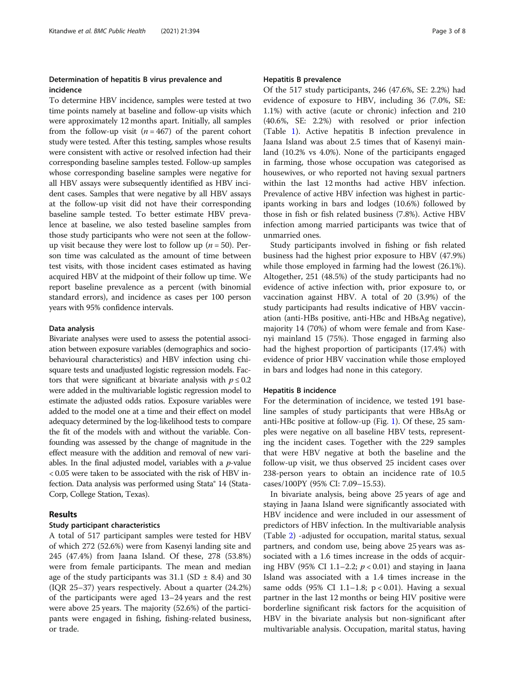# Determination of hepatitis B virus prevalence and incidence

To determine HBV incidence, samples were tested at two time points namely at baseline and follow-up visits which were approximately 12 months apart. Initially, all samples from the follow-up visit  $(n = 467)$  of the parent cohort study were tested. After this testing, samples whose results were consistent with active or resolved infection had their corresponding baseline samples tested. Follow-up samples whose corresponding baseline samples were negative for all HBV assays were subsequently identified as HBV incident cases. Samples that were negative by all HBV assays at the follow-up visit did not have their corresponding baseline sample tested. To better estimate HBV prevalence at baseline, we also tested baseline samples from those study participants who were not seen at the followup visit because they were lost to follow up ( $n = 50$ ). Person time was calculated as the amount of time between test visits, with those incident cases estimated as having acquired HBV at the midpoint of their follow up time. We report baseline prevalence as a percent (with binomial standard errors), and incidence as cases per 100 person years with 95% confidence intervals.

## Data analysis

Bivariate analyses were used to assess the potential association between exposure variables (demographics and sociobehavioural characteristics) and HBV infection using chisquare tests and unadjusted logistic regression models. Factors that were significant at bivariate analysis with  $p \le 0.2$ were added in the multivariable logistic regression model to estimate the adjusted odds ratios. Exposure variables were added to the model one at a time and their effect on model adequacy determined by the log-likelihood tests to compare the fit of the models with and without the variable. Confounding was assessed by the change of magnitude in the effect measure with the addition and removal of new variables. In the final adjusted model, variables with a  $p$ -value < 0.05 were taken to be associated with the risk of HBV infection. Data analysis was performed using Stata® 14 (Stata-Corp, College Station, Texas).

# Results

#### Study participant characteristics

A total of 517 participant samples were tested for HBV of which 272 (52.6%) were from Kasenyi landing site and 245 (47.4%) from Jaana Island. Of these, 278 (53.8%) were from female participants. The mean and median age of the study participants was  $31.1$  (SD  $\pm$  8.4) and 30 (IQR 25–37) years respectively. About a quarter (24.2%) of the participants were aged 13–24 years and the rest were above 25 years. The majority (52.6%) of the participants were engaged in fishing, fishing-related business, or trade.

#### Hepatitis B prevalence

Of the 517 study participants, 246 (47.6%, SE: 2.2%) had evidence of exposure to HBV, including 36 (7.0%, SE: 1.1%) with active (acute or chronic) infection and 210 (40.6%, SE: 2.2%) with resolved or prior infection (Table [1](#page-3-0)). Active hepatitis B infection prevalence in Jaana Island was about 2.5 times that of Kasenyi mainland (10.2% vs 4.0%). None of the participants engaged in farming, those whose occupation was categorised as housewives, or who reported not having sexual partners within the last 12 months had active HBV infection. Prevalence of active HBV infection was highest in participants working in bars and lodges (10.6%) followed by those in fish or fish related business (7.8%). Active HBV infection among married participants was twice that of unmarried ones.

Study participants involved in fishing or fish related business had the highest prior exposure to HBV (47.9%) while those employed in farming had the lowest (26.1%). Altogether, 251 (48.5%) of the study participants had no evidence of active infection with, prior exposure to, or vaccination against HBV. A total of 20 (3.9%) of the study participants had results indicative of HBV vaccination (anti-HBs positive, anti-HBc and HBsAg negative), majority 14 (70%) of whom were female and from Kasenyi mainland 15 (75%). Those engaged in farming also had the highest proportion of participants (17.4%) with evidence of prior HBV vaccination while those employed in bars and lodges had none in this category.

## Hepatitis B incidence

For the determination of incidence, we tested 191 baseline samples of study participants that were HBsAg or anti-HBc positive at follow-up (Fig. [1\)](#page-4-0). Of these, 25 samples were negative on all baseline HBV tests, representing the incident cases. Together with the 229 samples that were HBV negative at both the baseline and the follow-up visit, we thus observed 25 incident cases over 238-person years to obtain an incidence rate of 10.5 cases/100PY (95% CI: 7.09–15.53).

In bivariate analysis, being above 25 years of age and staying in Jaana Island were significantly associated with HBV incidence and were included in our assessment of predictors of HBV infection. In the multivariable analysis (Table [2](#page-5-0)) -adjusted for occupation, marital status, sexual partners, and condom use, being above 25 years was associated with a 1.6 times increase in the odds of acquiring HBV (95% CI 1.1–2.2;  $p < 0.01$ ) and staying in Jaana Island was associated with a 1.4 times increase in the same odds (95% CI 1.1–1.8; p < 0.01). Having a sexual partner in the last 12 months or being HIV positive were borderline significant risk factors for the acquisition of HBV in the bivariate analysis but non-significant after multivariable analysis. Occupation, marital status, having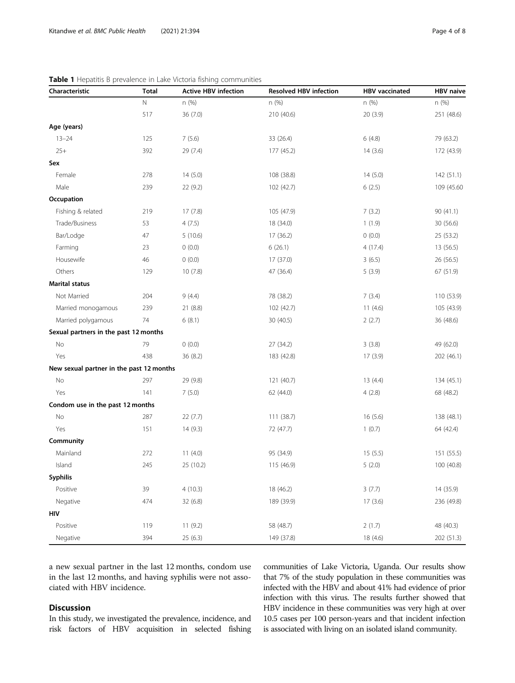| Characteristic                           | <b>Total</b> | <b>Active HBV infection</b> | <b>Resolved HBV infection</b> | <b>HBV</b> vaccinated | <b>HBV</b> naive |
|------------------------------------------|--------------|-----------------------------|-------------------------------|-----------------------|------------------|
|                                          | $\mathsf{N}$ | n (%)                       | n (%)                         | n (%)                 | n (%)            |
|                                          | 517          | 36 (7.0)                    | 210 (40.6)                    | 20 (3.9)              | 251 (48.6)       |
| Age (years)                              |              |                             |                               |                       |                  |
| $13 - 24$                                | 125          | 7(5.6)                      | 33 (26.4)                     | 6(4.8)                | 79 (63.2)        |
| $25+$                                    | 392          | 29 (7.4)                    | 177 (45.2)                    | 14(3.6)               | 172 (43.9)       |
| Sex                                      |              |                             |                               |                       |                  |
| Female                                   | 278          | 14(5.0)                     | 108 (38.8)                    | 14(5.0)               | 142(51.1)        |
| Male                                     | 239          | 22 (9.2)                    | 102 (42.7)                    | 6(2.5)                | 109 (45.60)      |
| Occupation                               |              |                             |                               |                       |                  |
| Fishing & related                        | 219          | 17(7.8)                     | 105 (47.9)                    | 7(3.2)                | 90 (41.1)        |
| Trade/Business                           | 53           | 4(7.5)                      | 18 (34.0)                     | 1(1.9)                | 30 (56.6)        |
| Bar/Lodge                                | 47           | 5(10.6)                     | 17 (36.2)                     | 0(0.0)                | 25 (53.2)        |
| Farming                                  | 23           | 0(0.0)                      | 6(26.1)                       | 4(17.4)               | 13 (56.5)        |
| Housewife                                | 46           | 0(0.0)                      | 17 (37.0)                     | 3(6.5)                | 26 (56.5)        |
| Others                                   | 129          | 10(7.8)                     | 47 (36.4)                     | 5(3.9)                | 67 (51.9)        |
| <b>Marital status</b>                    |              |                             |                               |                       |                  |
| Not Married                              | 204          | 9(4.4)                      | 78 (38.2)                     | 7(3.4)                | 110 (53.9)       |
| Married monogamous                       | 239          | 21 (8.8)                    | 102 (42.7)                    | 11(4.6)               | 105 (43.9)       |
| Married polygamous                       | 74           | 6(8.1)                      | 30 (40.5)                     | 2(2.7)                | 36 (48.6)        |
| Sexual partners in the past 12 months    |              |                             |                               |                       |                  |
| No                                       | 79           | 0(0.0)                      | 27 (34.2)                     | 3(3.8)                | 49 (62.0)        |
| Yes                                      | 438          | 36 (8.2)                    | 183 (42.8)                    | 17(3.9)               | 202 (46.1)       |
| New sexual partner in the past 12 months |              |                             |                               |                       |                  |
| No                                       | 297          | 29 (9.8)                    | 121 (40.7)                    | 13(4.4)               | 134 (45.1)       |
| Yes                                      | 141          | 7(5.0)                      | 62 (44.0)                     | 4(2.8)                | 68 (48.2)        |
| Condom use in the past 12 months         |              |                             |                               |                       |                  |
| No                                       | 287          | 22 (7.7)                    | 111 (38.7)                    | 16(5.6)               | 138 (48.1)       |
| Yes                                      | 151          | 14(9.3)                     | 72 (47.7)                     | 1(0.7)                | 64 (42.4)        |
| Community                                |              |                             |                               |                       |                  |
| Mainland                                 | 272          | 11(4.0)                     | 95 (34.9)                     | 15(5.5)               | 151 (55.5)       |
| Island                                   | 245          | 25 (10.2)                   | 115 (46.9)                    | 5(2.0)                | 100 (40.8)       |
| Syphilis                                 |              |                             |                               |                       |                  |
| Positive                                 | 39           | 4(10.3)                     | 18 (46.2)                     | 3(7.7)                | 14 (35.9)        |
| Negative                                 | 474          | 32 (6.8)                    | 189 (39.9)                    | 17(3.6)               | 236 (49.8)       |
| HIV                                      |              |                             |                               |                       |                  |
| Positive                                 | 119          | 11(9.2)                     | 58 (48.7)                     | 2(1.7)                | 48 (40.3)        |
| Negative                                 | 394          | 25(6.3)                     | 149 (37.8)                    | 18 (4.6)              | 202 (51.3)       |

<span id="page-3-0"></span>Table 1 Hepatitis B prevalence in Lake Victoria fishing communities

a new sexual partner in the last 12 months, condom use in the last 12 months, and having syphilis were not associated with HBV incidence.

# Discussion

In this study, we investigated the prevalence, incidence, and risk factors of HBV acquisition in selected fishing communities of Lake Victoria, Uganda. Our results show that 7% of the study population in these communities was infected with the HBV and about 41% had evidence of prior infection with this virus. The results further showed that HBV incidence in these communities was very high at over 10.5 cases per 100 person-years and that incident infection is associated with living on an isolated island community.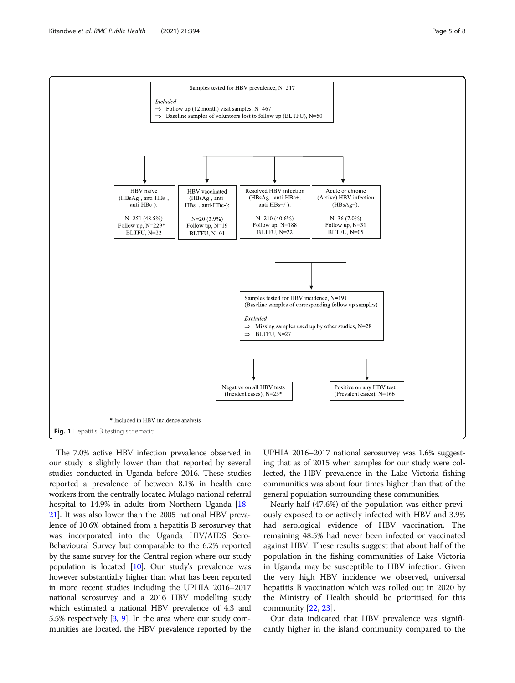<span id="page-4-0"></span>

The 7.0% active HBV infection prevalence observed in our study is slightly lower than that reported by several studies conducted in Uganda before 2016. These studies reported a prevalence of between 8.1% in health care workers from the centrally located Mulago national referral hospital to 14.9% in adults from Northern Uganda [\[18](#page-7-0)– [21](#page-7-0)]. It was also lower than the 2005 national HBV prevalence of 10.6% obtained from a hepatitis B serosurvey that was incorporated into the Uganda HIV/AIDS Sero-Behavioural Survey but comparable to the 6.2% reported by the same survey for the Central region where our study population is located [[10](#page-7-0)]. Our study's prevalence was however substantially higher than what has been reported in more recent studies including the UPHIA 2016–2017 national serosurvey and a 2016 HBV modelling study which estimated a national HBV prevalence of 4.3 and 5.5% respectively [\[3](#page-7-0), [9](#page-7-0)]. In the area where our study communities are located, the HBV prevalence reported by the

UPHIA 2016–2017 national serosurvey was 1.6% suggesting that as of 2015 when samples for our study were collected, the HBV prevalence in the Lake Victoria fishing communities was about four times higher than that of the general population surrounding these communities.

Nearly half (47.6%) of the population was either previously exposed to or actively infected with HBV and 3.9% had serological evidence of HBV vaccination. The remaining 48.5% had never been infected or vaccinated against HBV. These results suggest that about half of the population in the fishing communities of Lake Victoria in Uganda may be susceptible to HBV infection. Given the very high HBV incidence we observed, universal hepatitis B vaccination which was rolled out in 2020 by the Ministry of Health should be prioritised for this community [[22](#page-7-0), [23](#page-7-0)].

Our data indicated that HBV prevalence was significantly higher in the island community compared to the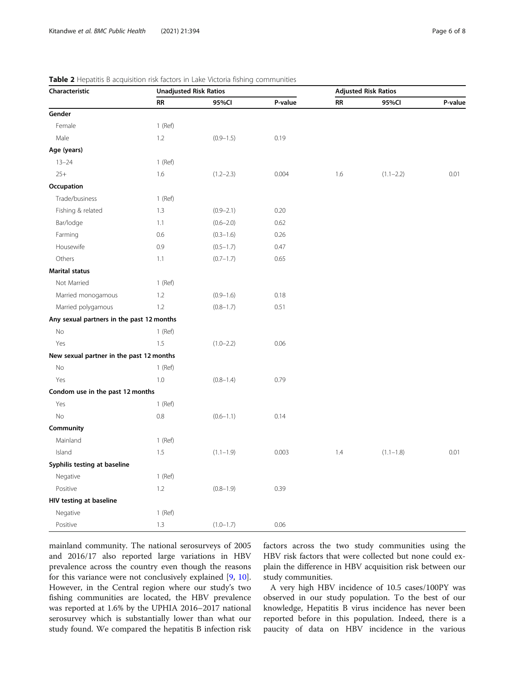| Characteristic                            |           | <b>Unadjusted Risk Ratios</b> | <b>Adjusted Risk Ratios</b> |           |               |         |
|-------------------------------------------|-----------|-------------------------------|-----------------------------|-----------|---------------|---------|
|                                           | <b>RR</b> | 95%CI                         | P-value                     | <b>RR</b> | 95%CI         | P-value |
| Gender                                    |           |                               |                             |           |               |         |
| Female                                    | $1$ (Ref) |                               |                             |           |               |         |
| Male                                      | 1.2       | $(0.9 - 1.5)$                 | 0.19                        |           |               |         |
| Age (years)                               |           |                               |                             |           |               |         |
| $13 - 24$                                 | $1$ (Ref) |                               |                             |           |               |         |
| $25+$                                     | 1.6       | $(1.2 - 2.3)$                 | 0.004                       | 1.6       | $(1.1 - 2.2)$ | 0.01    |
| Occupation                                |           |                               |                             |           |               |         |
| Trade/business                            | $1$ (Ref) |                               |                             |           |               |         |
| Fishing & related                         | 1.3       | $(0.9 - 2.1)$                 | 0.20                        |           |               |         |
| Bar/lodge                                 | 1.1       | $(0.6 - 2.0)$                 | 0.62                        |           |               |         |
| Farming                                   | 0.6       | $(0.3 - 1.6)$                 | 0.26                        |           |               |         |
| Housewife                                 | 0.9       | $(0.5 - 1.7)$                 | 0.47                        |           |               |         |
| Others                                    | 1.1       | $(0.7 - 1.7)$                 | 0.65                        |           |               |         |
| <b>Marital status</b>                     |           |                               |                             |           |               |         |
| Not Married                               | $1$ (Ref) |                               |                             |           |               |         |
| Married monogamous                        | 1.2       | $(0.9 - 1.6)$                 | 0.18                        |           |               |         |
| Married polygamous                        | 1.2       | $(0.8 - 1.7)$                 | 0.51                        |           |               |         |
| Any sexual partners in the past 12 months |           |                               |                             |           |               |         |
| No                                        | $1$ (Ref) |                               |                             |           |               |         |
| Yes                                       | 1.5       | $(1.0 - 2.2)$                 | 0.06                        |           |               |         |
| New sexual partner in the past 12 months  |           |                               |                             |           |               |         |
| No                                        | $1$ (Ref) |                               |                             |           |               |         |
| Yes                                       | 1.0       | $(0.8 - 1.4)$                 | 0.79                        |           |               |         |
| Condom use in the past 12 months          |           |                               |                             |           |               |         |
| Yes                                       | $1$ (Ref) |                               |                             |           |               |         |
| No                                        | $0.8\,$   | $(0.6 - 1.1)$                 | 0.14                        |           |               |         |
| Community                                 |           |                               |                             |           |               |         |
| Mainland                                  | $1$ (Ref) |                               |                             |           |               |         |
| Island                                    | 1.5       | $(1.1 - 1.9)$                 | 0.003                       | 1.4       | $(1.1 - 1.8)$ | 0.01    |
| Syphilis testing at baseline              |           |                               |                             |           |               |         |
| Negative                                  | $1$ (Ref) |                               |                             |           |               |         |
| Positive                                  | 1.2       | $(0.8 - 1.9)$                 | 0.39                        |           |               |         |
| HIV testing at baseline                   |           |                               |                             |           |               |         |
| Negative                                  | $1$ (Ref) |                               |                             |           |               |         |
| Positive                                  | 1.3       | $(1.0 - 1.7)$                 | 0.06                        |           |               |         |

<span id="page-5-0"></span>

|  | <b>Table 2</b> Hepatitis B acquisition risk factors in Lake Victoria fishing communities |  |  |
|--|------------------------------------------------------------------------------------------|--|--|
|--|------------------------------------------------------------------------------------------|--|--|

mainland community. The national serosurveys of 2005 and 2016/17 also reported large variations in HBV prevalence across the country even though the reasons for this variance were not conclusively explained [[9,](#page-7-0) [10](#page-7-0)]. However, in the Central region where our study's two fishing communities are located, the HBV prevalence was reported at 1.6% by the UPHIA 2016–2017 national serosurvey which is substantially lower than what our study found. We compared the hepatitis B infection risk factors across the two study communities using the HBV risk factors that were collected but none could explain the difference in HBV acquisition risk between our study communities.

A very high HBV incidence of 10.5 cases/100PY was observed in our study population. To the best of our knowledge, Hepatitis B virus incidence has never been reported before in this population. Indeed, there is a paucity of data on HBV incidence in the various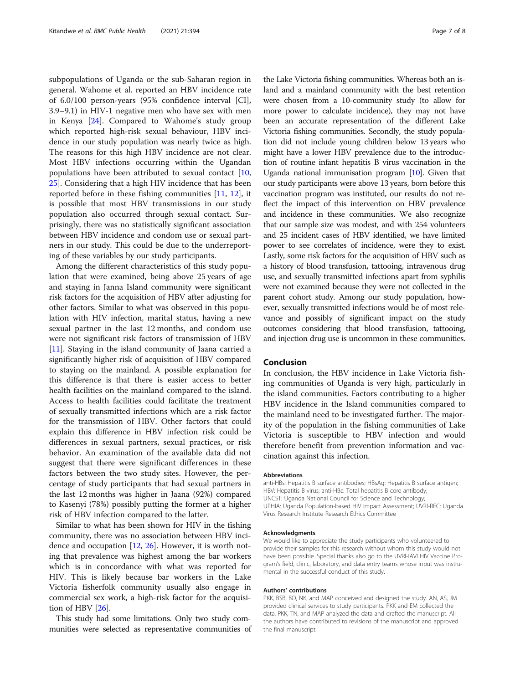subpopulations of Uganda or the sub-Saharan region in general. Wahome et al. reported an HBV incidence rate of 6.0/100 person-years (95% confidence interval [CI], 3.9–9.1) in HIV-1 negative men who have sex with men in Kenya [\[24\]](#page-7-0). Compared to Wahome's study group which reported high-risk sexual behaviour, HBV incidence in our study population was nearly twice as high. The reasons for this high HBV incidence are not clear. Most HBV infections occurring within the Ugandan populations have been attributed to sexual contact [[10](#page-7-0), [25\]](#page-7-0). Considering that a high HIV incidence that has been reported before in these fishing communities [[11,](#page-7-0) [12\]](#page-7-0), it is possible that most HBV transmissions in our study population also occurred through sexual contact. Surprisingly, there was no statistically significant association between HBV incidence and condom use or sexual partners in our study. This could be due to the underreporting of these variables by our study participants.

Among the different characteristics of this study population that were examined, being above 25 years of age and staying in Janna Island community were significant risk factors for the acquisition of HBV after adjusting for other factors. Similar to what was observed in this population with HIV infection, marital status, having a new sexual partner in the last 12 months, and condom use were not significant risk factors of transmission of HBV [[11\]](#page-7-0). Staying in the island community of Jaana carried a significantly higher risk of acquisition of HBV compared to staying on the mainland. A possible explanation for this difference is that there is easier access to better health facilities on the mainland compared to the island. Access to health facilities could facilitate the treatment of sexually transmitted infections which are a risk factor for the transmission of HBV. Other factors that could explain this difference in HBV infection risk could be differences in sexual partners, sexual practices, or risk behavior. An examination of the available data did not suggest that there were significant differences in these factors between the two study sites. However, the percentage of study participants that had sexual partners in the last 12 months was higher in Jaana (92%) compared to Kasenyi (78%) possibly putting the former at a higher risk of HBV infection compared to the latter.

Similar to what has been shown for HIV in the fishing community, there was no association between HBV incidence and occupation [[12,](#page-7-0) [26\]](#page-7-0). However, it is worth noting that prevalence was highest among the bar workers which is in concordance with what was reported for HIV. This is likely because bar workers in the Lake Victoria fisherfolk community usually also engage in commercial sex work, a high-risk factor for the acquisition of HBV [\[26\]](#page-7-0).

This study had some limitations. Only two study communities were selected as representative communities of

the Lake Victoria fishing communities. Whereas both an island and a mainland community with the best retention were chosen from a 10-community study (to allow for more power to calculate incidence), they may not have been an accurate representation of the different Lake Victoria fishing communities. Secondly, the study population did not include young children below 13 years who might have a lower HBV prevalence due to the introduction of routine infant hepatitis B virus vaccination in the Uganda national immunisation program [\[10\]](#page-7-0). Given that our study participants were above 13 years, born before this vaccination program was instituted, our results do not reflect the impact of this intervention on HBV prevalence and incidence in these communities. We also recognize that our sample size was modest, and with 254 volunteers and 25 incident cases of HBV identified, we have limited power to see correlates of incidence, were they to exist. Lastly, some risk factors for the acquisition of HBV such as a history of blood transfusion, tattooing, intravenous drug use, and sexually transmitted infections apart from syphilis were not examined because they were not collected in the parent cohort study. Among our study population, however, sexually transmitted infections would be of most relevance and possibly of significant impact on the study outcomes considering that blood transfusion, tattooing, and injection drug use is uncommon in these communities.

## Conclusion

In conclusion, the HBV incidence in Lake Victoria fishing communities of Uganda is very high, particularly in the island communities. Factors contributing to a higher HBV incidence in the Island communities compared to the mainland need to be investigated further. The majority of the population in the fishing communities of Lake Victoria is susceptible to HBV infection and would therefore benefit from prevention information and vaccination against this infection.

#### Abbreviations

anti-HBs: Hepatitis B surface antibodies; HBsAg: Hepatitis B surface antigen; HBV: Hepatitis B virus; anti-HBc: Total hepatitis B core antibody; UNCST: Uganda National Council for Science and Technology; UPHIA: Uganda Population-based HIV Impact Assessment; UVRI-REC: Uganda Virus Research Institute Research Ethics Committee

#### Acknowledgments

We would like to appreciate the study participants who volunteered to provide their samples for this research without whom this study would not have been possible. Special thanks also go to the UVRI-IAVI HIV Vaccine Program's field, clinic, laboratory, and data entry teams whose input was instrumental in the successful conduct of this study.

#### Authors' contributions

PKK, BSB, BO, NK, and MAP conceived and designed the study. AN, AS, JM provided clinical services to study participants. PKK and EM collected the data. PKK, TN, and MAP analyzed the data and drafted the manuscript. All the authors have contributed to revisions of the manuscript and approved the final manuscript.